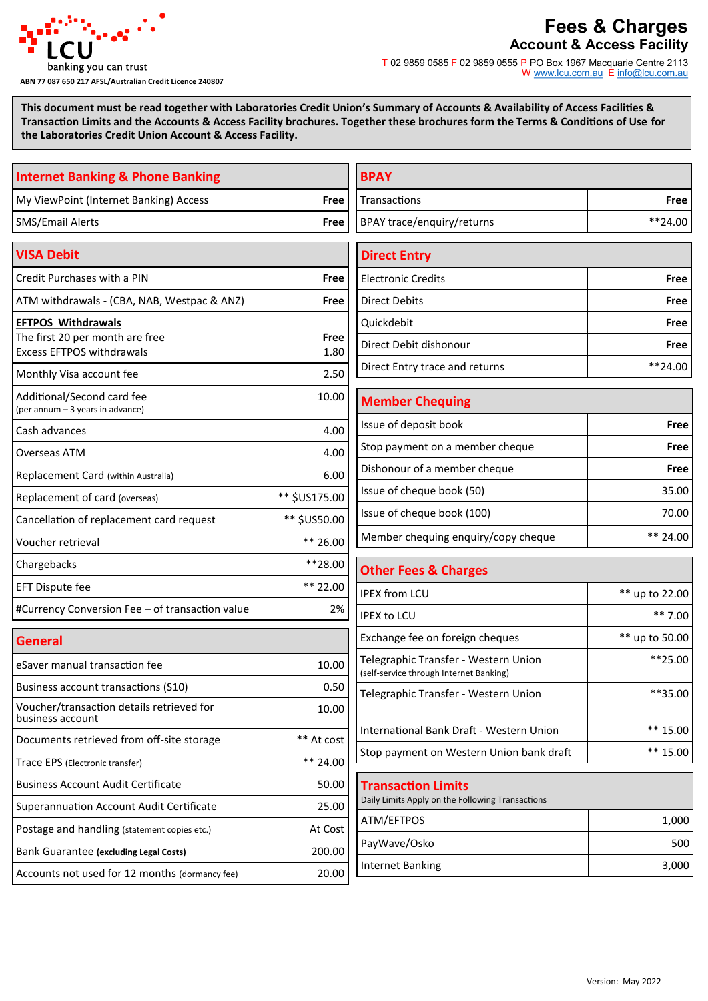

## **ABN 77 087 650 217 AFSL/Australian Credit Licence 240807**

# **Fees & Charges Account & Access Facility**

T 02 9859 0585 F 02 9859 0555 P PO Box 1967 Macquarie Centre 2113 W [www.lcu.com.au](http://www.lcu.com.au) E [info@lcu.com.au](mailto:info@lcu.com.au)

**This document must be read together with Laboratories Credit Union's Summary of Accounts & Availability of Access Facilities & Transaction Limits and the Accounts & Access Facility brochures. Together these brochures form the Terms & Conditions of Use for the Laboratories Credit Union Account & Access Facility.**

| <b>Internet Banking &amp; Phone Banking</b>                         |               | <b>BPAY</b>                                                                     |                |
|---------------------------------------------------------------------|---------------|---------------------------------------------------------------------------------|----------------|
| My ViewPoint (Internet Banking) Access                              | Free          | Transactions                                                                    | Free           |
| <b>SMS/Email Alerts</b>                                             | Free          | BPAY trace/enquiry/returns                                                      | $**24.00$      |
| <b>VISA Debit</b>                                                   |               | <b>Direct Entry</b>                                                             |                |
| Credit Purchases with a PIN                                         | Free          | <b>Electronic Credits</b>                                                       | Free           |
| ATM withdrawals - (CBA, NAB, Westpac & ANZ)                         | Free          | <b>Direct Debits</b>                                                            | Free           |
| <b>EFTPOS Withdrawals</b>                                           |               | Quickdebit                                                                      | Free           |
| The first 20 per month are free<br><b>Excess EFTPOS withdrawals</b> | Free<br>1.80  | Direct Debit dishonour                                                          | <b>Free</b>    |
| Monthly Visa account fee                                            | 2.50          | Direct Entry trace and returns                                                  | $***24.00$     |
| Additional/Second card fee<br>(per annum - 3 years in advance)      | 10.00         | <b>Member Chequing</b>                                                          |                |
| Cash advances                                                       | 4.00          | Issue of deposit book                                                           | <b>Free</b>    |
| Overseas ATM                                                        | 4.00          | Stop payment on a member cheque                                                 | Free           |
| Replacement Card (within Australia)                                 | 6.00          | Dishonour of a member cheque                                                    | Free           |
| Replacement of card (overseas)                                      | ** \$US175.00 | Issue of cheque book (50)                                                       | 35.00          |
| Cancellation of replacement card request                            | ** \$US50.00  | Issue of cheque book (100)                                                      | 70.00          |
| Voucher retrieval                                                   | ** 26.00      | Member chequing enquiry/copy cheque                                             | ** 24.00       |
| **28.00<br>Chargebacks                                              |               | <b>Other Fees &amp; Charges</b>                                                 |                |
| <b>EFT Dispute fee</b>                                              | ** 22.00      | <b>IPEX from LCU</b>                                                            | ** up to 22.00 |
| #Currency Conversion Fee - of transaction value                     | 2%            | <b>IPEX to LCU</b>                                                              | $***7.00$      |
| <b>General</b>                                                      |               | Exchange fee on foreign cheques                                                 | ** up to 50.00 |
| eSaver manual transaction fee                                       | 10.00         | Telegraphic Transfer - Western Union<br>(self-service through Internet Banking) | $**25.00$      |
| Business account transactions (S10)                                 | 0.50          | Telegraphic Transfer - Western Union                                            | **35.00        |
| Voucher/transaction details retrieved for<br>business account       | 10.00         |                                                                                 |                |
| Documents retrieved from off-site storage                           | ** At cost    | International Bank Draft - Western Union                                        | $** 15.00$     |
| Trace EPS (Electronic transfer)                                     | ** 24.00      | Stop payment on Western Union bank draft                                        | $** 15.00$     |
| <b>Business Account Audit Certificate</b>                           | 50.00         | <b>Transaction Limits</b>                                                       |                |
| Superannuation Account Audit Certificate                            | 25.00         | Daily Limits Apply on the Following Transactions                                |                |
| Postage and handling (statement copies etc.)                        | At Cost       | ATM/EFTPOS                                                                      | 1,000          |
| Bank Guarantee (excluding Legal Costs)                              | 200.00        | PayWave/Osko                                                                    | 500            |
| Accounts not used for 12 months (dormancy fee)                      | 20.00         | <b>Internet Banking</b>                                                         | 3,000          |